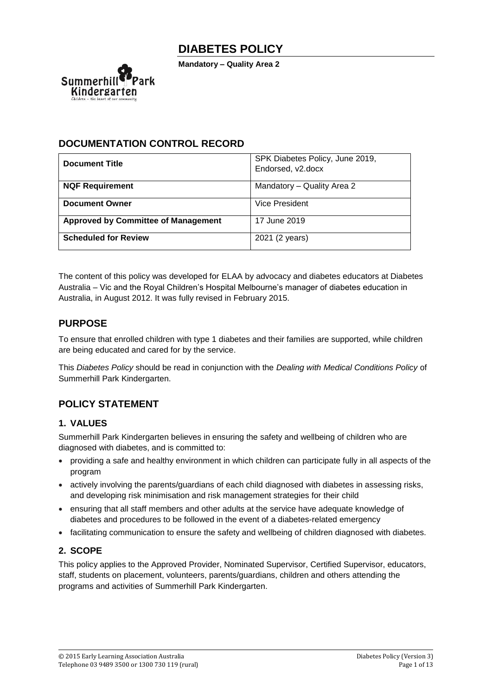**Mandatory – Quality Area 2**



## **DOCUMENTATION CONTROL RECORD**

| <b>Document Title</b>                      | SPK Diabetes Policy, June 2019,<br>Endorsed, v2.docx |
|--------------------------------------------|------------------------------------------------------|
| <b>NQF Requirement</b>                     | Mandatory - Quality Area 2                           |
| <b>Document Owner</b>                      | Vice President                                       |
| <b>Approved by Committee of Management</b> | 17 June 2019                                         |
| <b>Scheduled for Review</b>                | 2021 (2 years)                                       |

The content of this policy was developed for ELAA by advocacy and diabetes educators at Diabetes Australia – Vic and the Royal Children's Hospital Melbourne's manager of diabetes education in Australia, in August 2012. It was fully revised in February 2015.

## **PURPOSE**

To ensure that enrolled children with type 1 diabetes and their families are supported, while children are being educated and cared for by the service.

This *Diabetes Policy* should be read in conjunction with the *Dealing with Medical Conditions Policy* of Summerhill Park Kindergarten.

# **POLICY STATEMENT**

### **1. VALUES**

Summerhill Park Kindergarten believes in ensuring the safety and wellbeing of children who are diagnosed with diabetes, and is committed to:

- providing a safe and healthy environment in which children can participate fully in all aspects of the program
- actively involving the parents/guardians of each child diagnosed with diabetes in assessing risks, and developing risk minimisation and risk management strategies for their child
- ensuring that all staff members and other adults at the service have adequate knowledge of diabetes and procedures to be followed in the event of a diabetes-related emergency
- facilitating communication to ensure the safety and wellbeing of children diagnosed with diabetes.

## **2. SCOPE**

This policy applies to the Approved Provider, Nominated Supervisor, Certified Supervisor, educators, staff, students on placement, volunteers, parents/guardians, children and others attending the programs and activities of Summerhill Park Kindergarten.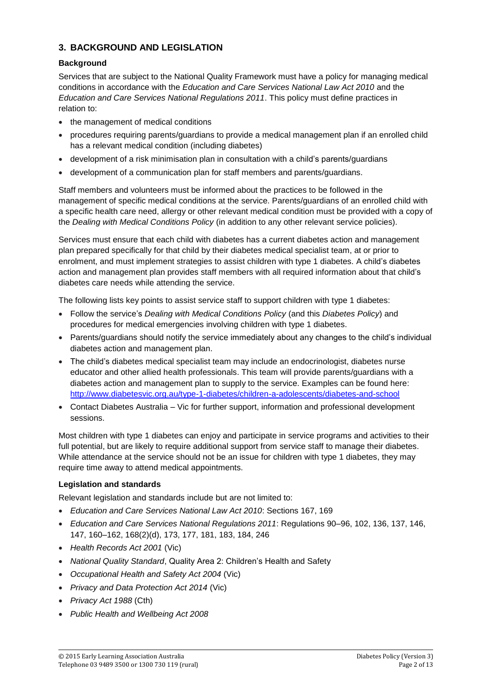### **3. BACKGROUND AND LEGISLATION**

### **Background**

Services that are subject to the National Quality Framework must have a policy for managing medical conditions in accordance with the *Education and Care Services National Law Act 2010* and the *Education and Care Services National Regulations 2011*. This policy must define practices in relation to:

- the management of medical conditions
- procedures requiring parents/guardians to provide a medical management plan if an enrolled child has a relevant medical condition (including diabetes)
- development of a risk minimisation plan in consultation with a child's parents/guardians
- development of a communication plan for staff members and parents/guardians.

Staff members and volunteers must be informed about the practices to be followed in the management of specific medical conditions at the service. Parents/guardians of an enrolled child with a specific health care need, allergy or other relevant medical condition must be provided with a copy of the *Dealing with Medical Conditions Policy* (in addition to any other relevant service policies).

Services must ensure that each child with diabetes has a current diabetes action and management plan prepared specifically for that child by their diabetes medical specialist team, at or prior to enrolment, and must implement strategies to assist children with type 1 diabetes. A child's diabetes action and management plan provides staff members with all required information about that child's diabetes care needs while attending the service.

The following lists key points to assist service staff to support children with type 1 diabetes:

- Follow the service's *Dealing with Medical Conditions Policy* (and this *Diabetes Policy*) and procedures for medical emergencies involving children with type 1 diabetes.
- Parents/guardians should notify the service immediately about any changes to the child's individual diabetes action and management plan.
- The child's diabetes medical specialist team may include an endocrinologist, diabetes nurse educator and other allied health professionals. This team will provide parents/guardians with a diabetes action and management plan to supply to the service. Examples can be found here: <http://www.diabetesvic.org.au/type-1-diabetes/children-a-adolescents/diabetes-and-school>
- Contact Diabetes Australia Vic for further support, information and professional development sessions.

Most children with type 1 diabetes can enjoy and participate in service programs and activities to their full potential, but are likely to require additional support from service staff to manage their diabetes. While attendance at the service should not be an issue for children with type 1 diabetes, they may require time away to attend medical appointments.

### **Legislation and standards**

Relevant legislation and standards include but are not limited to:

- *Education and Care Services National Law Act 2010*: Sections 167, 169
- *Education and Care Services National Regulations 2011*: Regulations 90–96, 102, 136, 137, 146, 147, 160–162, 168(2)(d), 173, 177, 181, 183, 184, 246
- *Health Records Act 2001* (Vic)
- *National Quality Standard*, Quality Area 2: Children's Health and Safety
- *Occupational Health and Safety Act 2004* (Vic)
- *Privacy and Data Protection Act 2014* (Vic)
- *Privacy Act 1988* (Cth)
- *Public Health and Wellbeing Act 2008*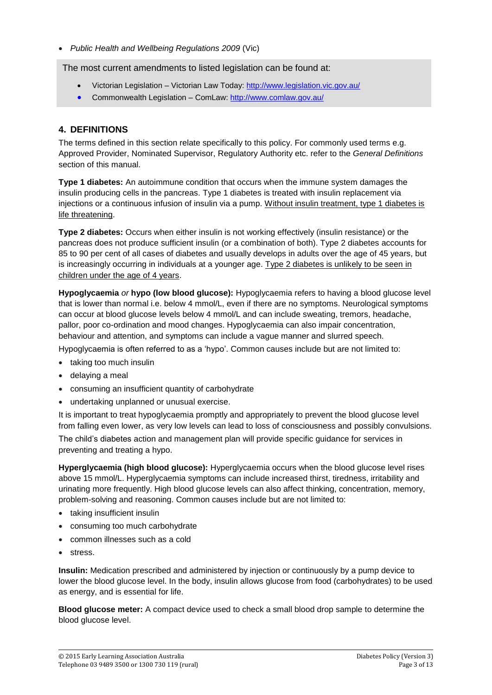• *Public Health and Wellbeing Regulations 2009* (Vic)

The most current amendments to listed legislation can be found at:

- Victorian Legislation Victorian Law Today:<http://www.legislation.vic.gov.au/>
- Commonwealth Legislation ComLaw:<http://www.comlaw.gov.au/>

### **4. DEFINITIONS**

The terms defined in this section relate specifically to this policy. For commonly used terms e.g. Approved Provider, Nominated Supervisor, Regulatory Authority etc. refer to the *General Definitions* section of this manual.

**Type 1 diabetes:** An autoimmune condition that occurs when the immune system damages the insulin producing cells in the pancreas. Type 1 diabetes is treated with insulin replacement via injections or a continuous infusion of insulin via a pump. Without insulin treatment, type 1 diabetes is life threatening.

**Type 2 diabetes:** Occurs when either insulin is not working effectively (insulin resistance) or the pancreas does not produce sufficient insulin (or a combination of both). Type 2 diabetes accounts for 85 to 90 per cent of all cases of diabetes and usually develops in adults over the age of 45 years, but is increasingly occurring in individuals at a younger age. Type 2 diabetes is unlikely to be seen in children under the age of 4 years.

**Hypoglycaemia** *or* **hypo (low blood glucose):** Hypoglycaemia refers to having a blood glucose level that is lower than normal i.e. below 4 mmol/L, even if there are no symptoms. Neurological symptoms can occur at blood glucose levels below 4 mmol/L and can include sweating, tremors, headache, pallor, poor co-ordination and mood changes. Hypoglycaemia can also impair concentration, behaviour and attention, and symptoms can include a vague manner and slurred speech.

Hypoglycaemia is often referred to as a 'hypo'. Common causes include but are not limited to:

- taking too much insulin
- delaying a meal
- consuming an insufficient quantity of carbohydrate
- undertaking unplanned or unusual exercise.

It is important to treat hypoglycaemia promptly and appropriately to prevent the blood glucose level from falling even lower, as very low levels can lead to loss of consciousness and possibly convulsions. The child's diabetes action and management plan will provide specific guidance for services in preventing and treating a hypo.

**Hyperglycaemia (high blood glucose):** Hyperglycaemia occurs when the blood glucose level rises above 15 mmol/L. Hyperglycaemia symptoms can include increased thirst, tiredness, irritability and urinating more frequently. High blood glucose levels can also affect thinking, concentration, memory, problem-solving and reasoning. Common causes include but are not limited to:

- taking insufficient insulin
- consuming too much carbohydrate
- common illnesses such as a cold
- stress.

**Insulin:** Medication prescribed and administered by injection or continuously by a pump device to lower the blood glucose level. In the body, insulin allows glucose from food (carbohydrates) to be used as energy, and is essential for life.

**Blood glucose meter:** A compact device used to check a small blood drop sample to determine the blood glucose level.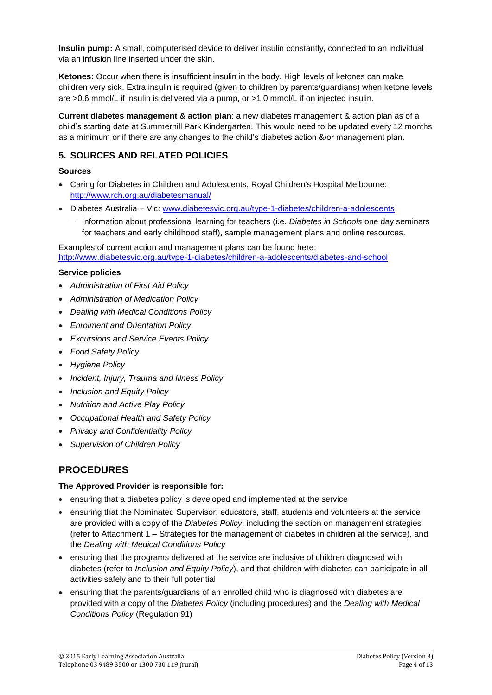**Insulin pump:** A small, computerised device to deliver insulin constantly, connected to an individual via an infusion line inserted under the skin.

**Ketones:** Occur when there is insufficient insulin in the body. High levels of ketones can make children very sick. Extra insulin is required (given to children by parents/guardians) when ketone levels are >0.6 mmol/L if insulin is delivered via a pump, or >1.0 mmol/L if on injected insulin.

**Current diabetes management & action plan**: a new diabetes management & action plan as of a child's starting date at Summerhill Park Kindergarten. This would need to be updated every 12 months as a minimum or if there are any changes to the child's diabetes action &/or management plan.

### **5. SOURCES AND RELATED POLICIES**

#### **Sources**

- Caring for Diabetes in Children and [Adolescents, Royal Children's Hospital](http://www.rch.org.au/diabetesmanual/index.cfm?doc_id=2352) Melbourne: <http://www.rch.org.au/diabetesmanual/>
- Diabetes Australia Vic: [www.diabetesvic.org.au/type-1-diabetes/children-a-adolescents](http://www.diabetesvic.org.au/type-1-diabetes/children-a-adolescents)
	- − Information about professional learning for teachers (i.e. *Diabetes in Schools* one day seminars for teachers and early childhood staff), sample management plans and online resources.

Examples of current action and management plans can be found here: <http://www.diabetesvic.org.au/type-1-diabetes/children-a-adolescents/diabetes-and-school>

#### **Service policies**

- *Administration of First Aid Policy*
- *Administration of Medication Policy*
- *Dealing with Medical Conditions Policy*
- *Enrolment and Orientation Policy*
- *Excursions and Service Events Policy*
- *Food Safety Policy*
- *Hygiene Policy*
- *Incident, Injury, Trauma and Illness Policy*
- *Inclusion and Equity Policy*
- *Nutrition and Active Play Policy*
- *Occupational Health and Safety Policy*
- *Privacy and Confidentiality Policy*
- *Supervision of Children Policy*

## **PROCEDURES**

#### **The Approved Provider is responsible for:**

- ensuring that a diabetes policy is developed and implemented at the service
- ensuring that the Nominated Supervisor, educators, staff, students and volunteers at the service are provided with a copy of the *Diabetes Policy*, including the section on management strategies (refer to Attachment 1 – Strategies for the management of diabetes in children at the service), and the *Dealing with Medical Conditions Policy*
- ensuring that the programs delivered at the service are inclusive of children diagnosed with diabetes (refer to *Inclusion and Equity Policy*), and that children with diabetes can participate in all activities safely and to their full potential
- ensuring that the parents/guardians of an enrolled child who is diagnosed with diabetes are provided with a copy of the *Diabetes Policy* (including procedures) and the *Dealing with Medical Conditions Policy* (Regulation 91)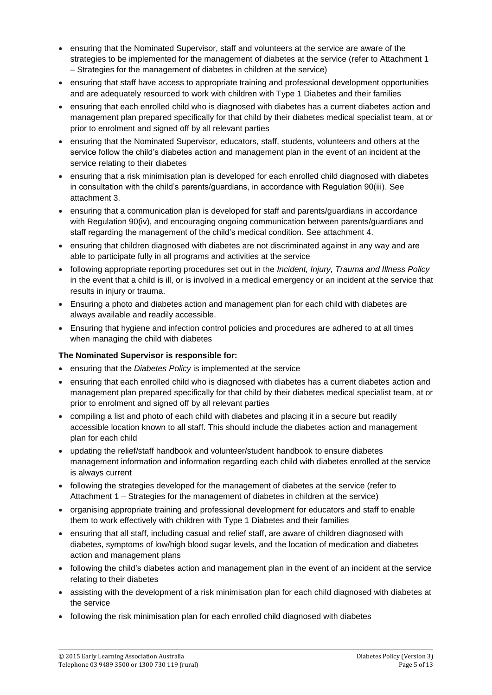- ensuring that the Nominated Supervisor, staff and volunteers at the service are aware of the strategies to be implemented for the management of diabetes at the service (refer to Attachment 1 – Strategies for the management of diabetes in children at the service)
- ensuring that staff have access to appropriate training and professional development opportunities and are adequately resourced to work with children with Type 1 Diabetes and their families
- ensuring that each enrolled child who is diagnosed with diabetes has a current diabetes action and management plan prepared specifically for that child by their diabetes medical specialist team, at or prior to enrolment and signed off by all relevant parties
- ensuring that the Nominated Supervisor, educators, staff, students, volunteers and others at the service follow the child's diabetes action and management plan in the event of an incident at the service relating to their diabetes
- ensuring that a risk minimisation plan is developed for each enrolled child diagnosed with diabetes in consultation with the child's parents/guardians, in accordance with Regulation 90(iii). See attachment 3.
- ensuring that a communication plan is developed for staff and parents/guardians in accordance with Regulation 90(iv), and encouraging ongoing communication between parents/guardians and staff regarding the management of the child's medical condition. See attachment 4.
- ensuring that children diagnosed with diabetes are not discriminated against in any way and are able to participate fully in all programs and activities at the service
- following appropriate reporting procedures set out in the *Incident, Injury, Trauma and Illness Policy* in the event that a child is ill, or is involved in a medical emergency or an incident at the service that results in injury or trauma.
- Ensuring a photo and diabetes action and management plan for each child with diabetes are always available and readily accessible.
- Ensuring that hygiene and infection control policies and procedures are adhered to at all times when managing the child with diabetes

### **The Nominated Supervisor is responsible for:**

- ensuring that the *Diabetes Policy* is implemented at the service
- ensuring that each enrolled child who is diagnosed with diabetes has a current diabetes action and management plan prepared specifically for that child by their diabetes medical specialist team, at or prior to enrolment and signed off by all relevant parties
- compiling a list and photo of each child with diabetes and placing it in a secure but readily accessible location known to all staff. This should include the diabetes action and management plan for each child
- updating the relief/staff handbook and volunteer/student handbook to ensure diabetes management information and information regarding each child with diabetes enrolled at the service is always current
- following the strategies developed for the management of diabetes at the service (refer to Attachment 1 – Strategies for the management of diabetes in children at the service)
- organising appropriate training and professional development for educators and staff to enable them to work effectively with children with Type 1 Diabetes and their families
- ensuring that all staff, including casual and relief staff, are aware of children diagnosed with diabetes, symptoms of low/high blood sugar levels, and the location of medication and diabetes action and management plans
- following the child's diabetes action and management plan in the event of an incident at the service relating to their diabetes
- assisting with the development of a risk minimisation plan for each child diagnosed with diabetes at the service
- following the risk minimisation plan for each enrolled child diagnosed with diabetes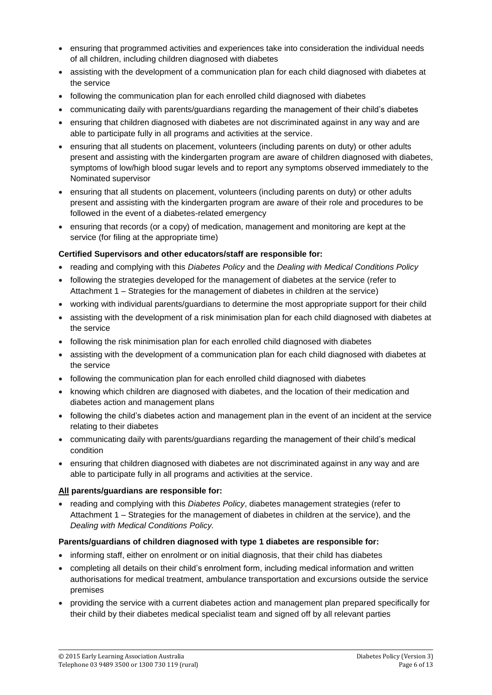- ensuring that programmed activities and experiences take into consideration the individual needs of all children, including children diagnosed with diabetes
- assisting with the development of a communication plan for each child diagnosed with diabetes at the service
- following the communication plan for each enrolled child diagnosed with diabetes
- communicating daily with parents/guardians regarding the management of their child's diabetes
- ensuring that children diagnosed with diabetes are not discriminated against in any way and are able to participate fully in all programs and activities at the service.
- ensuring that all students on placement, volunteers (including parents on duty) or other adults present and assisting with the kindergarten program are aware of children diagnosed with diabetes, symptoms of low/high blood sugar levels and to report any symptoms observed immediately to the Nominated supervisor
- ensuring that all students on placement, volunteers (including parents on duty) or other adults present and assisting with the kindergarten program are aware of their role and procedures to be followed in the event of a diabetes-related emergency
- ensuring that records (or a copy) of medication, management and monitoring are kept at the service (for filing at the appropriate time)

#### **Certified Supervisors and other educators/staff are responsible for:**

- reading and complying with this *Diabetes Policy* and the *Dealing with Medical Conditions Policy*
- following the strategies developed for the management of diabetes at the service (refer to Attachment 1 – Strategies for the management of diabetes in children at the service)
- working with individual parents/guardians to determine the most appropriate support for their child
- assisting with the development of a risk minimisation plan for each child diagnosed with diabetes at the service
- following the risk minimisation plan for each enrolled child diagnosed with diabetes
- assisting with the development of a communication plan for each child diagnosed with diabetes at the service
- following the communication plan for each enrolled child diagnosed with diabetes
- knowing which children are diagnosed with diabetes, and the location of their medication and diabetes action and management plans
- following the child's diabetes action and management plan in the event of an incident at the service relating to their diabetes
- communicating daily with parents/guardians regarding the management of their child's medical condition
- ensuring that children diagnosed with diabetes are not discriminated against in any way and are able to participate fully in all programs and activities at the service.

#### **All parents/guardians are responsible for:**

• reading and complying with this *Diabetes Policy*, diabetes management strategies (refer to Attachment 1 – Strategies for the management of diabetes in children at the service), and the *Dealing with Medical Conditions Policy.*

#### **Parents/guardians of children diagnosed with type 1 diabetes are responsible for:**

- informing staff, either on enrolment or on initial diagnosis, that their child has diabetes
- completing all details on their child's enrolment form, including medical information and written authorisations for medical treatment, ambulance transportation and excursions outside the service premises
- providing the service with a current diabetes action and management plan prepared specifically for their child by their diabetes medical specialist team and signed off by all relevant parties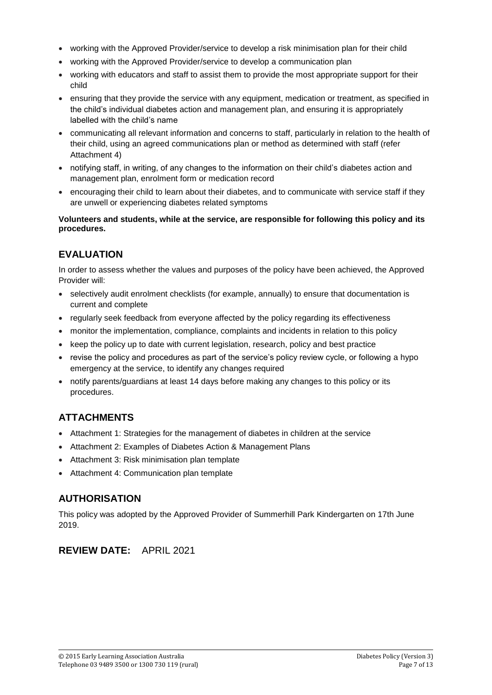- working with the Approved Provider/service to develop a risk minimisation plan for their child
- working with the Approved Provider/service to develop a communication plan
- working with educators and staff to assist them to provide the most appropriate support for their child
- ensuring that they provide the service with any equipment, medication or treatment, as specified in the child's individual diabetes action and management plan, and ensuring it is appropriately labelled with the child's name
- communicating all relevant information and concerns to staff, particularly in relation to the health of their child, using an agreed communications plan or method as determined with staff (refer Attachment 4)
- notifying staff, in writing, of any changes to the information on their child's diabetes action and management plan, enrolment form or medication record
- encouraging their child to learn about their diabetes, and to communicate with service staff if they are unwell or experiencing diabetes related symptoms

#### **Volunteers and students, while at the service, are responsible for following this policy and its procedures.**

# **EVALUATION**

In order to assess whether the values and purposes of the policy have been achieved, the Approved Provider will:

- selectively audit enrolment checklists (for example, annually) to ensure that documentation is current and complete
- regularly seek feedback from everyone affected by the policy regarding its effectiveness
- monitor the implementation, compliance, complaints and incidents in relation to this policy
- keep the policy up to date with current legislation, research, policy and best practice
- revise the policy and procedures as part of the service's policy review cycle, or following a hypo emergency at the service, to identify any changes required
- notify parents/guardians at least 14 days before making any changes to this policy or its procedures.

# **ATTACHMENTS**

- Attachment 1: Strategies for the management of diabetes in children at the service
- Attachment 2: Examples of Diabetes Action & Management Plans
- Attachment 3: Risk minimisation plan template
- Attachment 4: Communication plan template

## **AUTHORISATION**

This policy was adopted by the Approved Provider of Summerhill Park Kindergarten on 17th June 2019.

### **REVIEW DATE:** APRIL 2021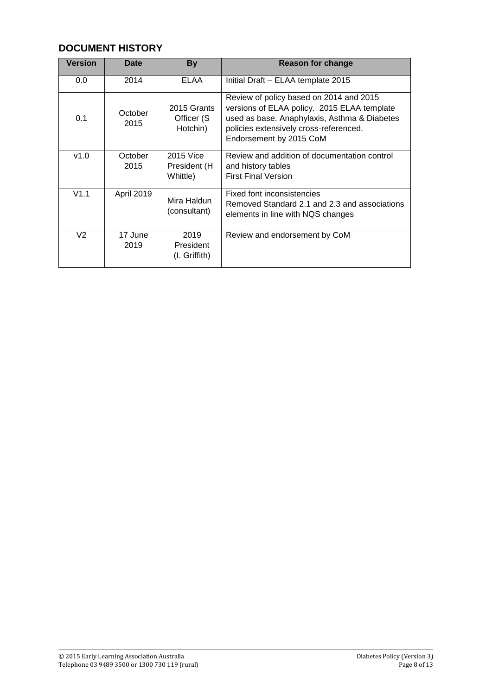# **DOCUMENT HISTORY**

| <b>Version</b> | <b>Date</b>     | <b>By</b>                              | <b>Reason for change</b>                                                                                                                                                                                    |  |  |  |
|----------------|-----------------|----------------------------------------|-------------------------------------------------------------------------------------------------------------------------------------------------------------------------------------------------------------|--|--|--|
| 0.0            | 2014            | ELAA                                   | Initial Draft - ELAA template 2015                                                                                                                                                                          |  |  |  |
| 0.1            | October<br>2015 | 2015 Grants<br>Officer (S)<br>Hotchin) | Review of policy based on 2014 and 2015<br>versions of ELAA policy. 2015 ELAA template<br>used as base. Anaphylaxis, Asthma & Diabetes<br>policies extensively cross-referenced.<br>Endorsement by 2015 CoM |  |  |  |
| v1.0           | October<br>2015 | 2015 Vice<br>President (H<br>Whittle)  | Review and addition of documentation control<br>and history tables<br><b>First Final Version</b>                                                                                                            |  |  |  |
| V1.1           | April 2019      | Mira Haldun<br>(consultant)            | Fixed font inconsistencies<br>Removed Standard 2.1 and 2.3 and associations<br>elements in line with NQS changes                                                                                            |  |  |  |
| V <sub>2</sub> | 17 June<br>2019 | 2019<br>President<br>$(I.$ Griffith)   | Review and endorsement by CoM                                                                                                                                                                               |  |  |  |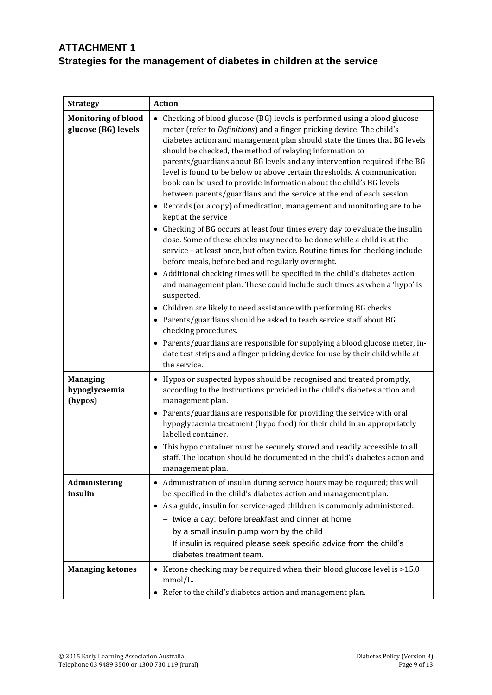# **ATTACHMENT 1 Strategies for the management of diabetes in children at the service**

| <b>Strategy</b>                                   | <b>Action</b>                                                                                                                                                                                                                                                                                                                                                                                                                                                                                                                                                                                                                                                                                                                                                                                                                                                                                                                                                                                                                                                                                                                                                                                                                                                                                                                                                                                                                                                                                                                                                |  |  |
|---------------------------------------------------|--------------------------------------------------------------------------------------------------------------------------------------------------------------------------------------------------------------------------------------------------------------------------------------------------------------------------------------------------------------------------------------------------------------------------------------------------------------------------------------------------------------------------------------------------------------------------------------------------------------------------------------------------------------------------------------------------------------------------------------------------------------------------------------------------------------------------------------------------------------------------------------------------------------------------------------------------------------------------------------------------------------------------------------------------------------------------------------------------------------------------------------------------------------------------------------------------------------------------------------------------------------------------------------------------------------------------------------------------------------------------------------------------------------------------------------------------------------------------------------------------------------------------------------------------------------|--|--|
| <b>Monitoring of blood</b><br>glucose (BG) levels | Checking of blood glucose (BG) levels is performed using a blood glucose<br>$\bullet$<br>meter (refer to Definitions) and a finger pricking device. The child's<br>diabetes action and management plan should state the times that BG levels<br>should be checked, the method of relaying information to<br>parents/guardians about BG levels and any intervention required if the BG<br>level is found to be below or above certain thresholds. A communication<br>book can be used to provide information about the child's BG levels<br>between parents/guardians and the service at the end of each session.<br>• Records (or a copy) of medication, management and monitoring are to be<br>kept at the service<br>• Checking of BG occurs at least four times every day to evaluate the insulin<br>dose. Some of these checks may need to be done while a child is at the<br>service - at least once, but often twice. Routine times for checking include<br>before meals, before bed and regularly overnight.<br>Additional checking times will be specified in the child's diabetes action<br>and management plan. These could include such times as when a 'hypo' is<br>suspected.<br>Children are likely to need assistance with performing BG checks.<br>$\bullet$<br>• Parents/guardians should be asked to teach service staff about BG<br>checking procedures.<br>• Parents/guardians are responsible for supplying a blood glucose meter, in-<br>date test strips and a finger pricking device for use by their child while at<br>the service. |  |  |
| <b>Managing</b><br>hypoglycaemia<br>(hypos)       | Hypos or suspected hypos should be recognised and treated promptly,<br>$\bullet$<br>according to the instructions provided in the child's diabetes action and<br>management plan.<br>• Parents/guardians are responsible for providing the service with oral<br>hypoglycaemia treatment (hypo food) for their child in an appropriately<br>labelled container.<br>This hypo container must be securely stored and readily accessible to all<br>staff. The location should be documented in the child's diabetes action and<br>management plan.                                                                                                                                                                                                                                                                                                                                                                                                                                                                                                                                                                                                                                                                                                                                                                                                                                                                                                                                                                                                               |  |  |
| Administering<br>insulin                          | Administration of insulin during service hours may be required; this will<br>be specified in the child's diabetes action and management plan.<br>As a guide, insulin for service-aged children is commonly administered:<br>- twice a day: before breakfast and dinner at home<br>- by a small insulin pump worn by the child<br>- If insulin is required please seek specific advice from the child's<br>diabetes treatment team.                                                                                                                                                                                                                                                                                                                                                                                                                                                                                                                                                                                                                                                                                                                                                                                                                                                                                                                                                                                                                                                                                                                           |  |  |
| <b>Managing ketones</b>                           | Ketone checking may be required when their blood glucose level is >15.0<br>$\bullet$<br>mmol/L.<br>Refer to the child's diabetes action and management plan.<br>٠                                                                                                                                                                                                                                                                                                                                                                                                                                                                                                                                                                                                                                                                                                                                                                                                                                                                                                                                                                                                                                                                                                                                                                                                                                                                                                                                                                                            |  |  |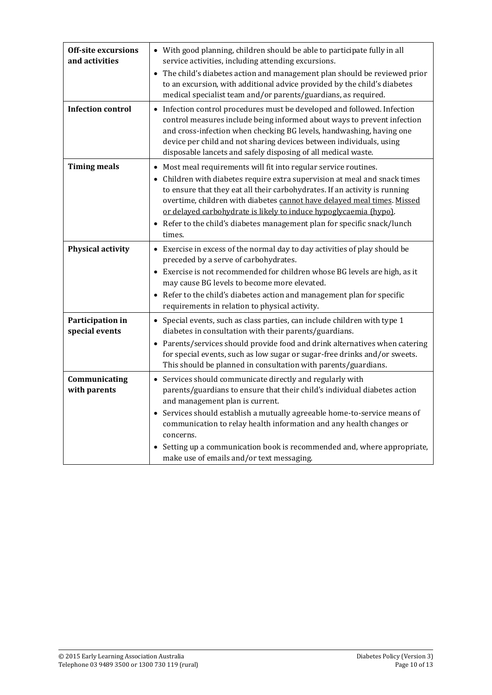| <b>Off-site excursions</b><br>and activities | • With good planning, children should be able to participate fully in all<br>service activities, including attending excursions.<br>The child's diabetes action and management plan should be reviewed prior<br>to an excursion, with additional advice provided by the child's diabetes<br>medical specialist team and/or parents/guardians, as required.                                                                                                      |
|----------------------------------------------|-----------------------------------------------------------------------------------------------------------------------------------------------------------------------------------------------------------------------------------------------------------------------------------------------------------------------------------------------------------------------------------------------------------------------------------------------------------------|
| <b>Infection control</b>                     | Infection control procedures must be developed and followed. Infection<br>$\bullet$<br>control measures include being informed about ways to prevent infection<br>and cross-infection when checking BG levels, handwashing, having one<br>device per child and not sharing devices between individuals, using<br>disposable lancets and safely disposing of all medical waste.                                                                                  |
| <b>Timing meals</b>                          | Most meal requirements will fit into regular service routines.<br>• Children with diabetes require extra supervision at meal and snack times<br>to ensure that they eat all their carbohydrates. If an activity is running<br>overtime, children with diabetes cannot have delayed meal times. Missed<br>or delayed carbohydrate is likely to induce hypoglycaemia (hypo).<br>Refer to the child's diabetes management plan for specific snack/lunch<br>times.  |
| Physical activity                            | • Exercise in excess of the normal day to day activities of play should be<br>preceded by a serve of carbohydrates.<br>Exercise is not recommended for children whose BG levels are high, as it<br>may cause BG levels to become more elevated.<br>Refer to the child's diabetes action and management plan for specific<br>requirements in relation to physical activity.                                                                                      |
| Participation in<br>special events           | Special events, such as class parties, can include children with type 1<br>$\bullet$<br>diabetes in consultation with their parents/guardians.<br>Parents/services should provide food and drink alternatives when catering<br>$\bullet$<br>for special events, such as low sugar or sugar-free drinks and/or sweets.<br>This should be planned in consultation with parents/guardians.                                                                         |
| Communicating<br>with parents                | • Services should communicate directly and regularly with<br>parents/guardians to ensure that their child's individual diabetes action<br>and management plan is current.<br>Services should establish a mutually agreeable home-to-service means of<br>communication to relay health information and any health changes or<br>concerns.<br>Setting up a communication book is recommended and, where appropriate,<br>make use of emails and/or text messaging. |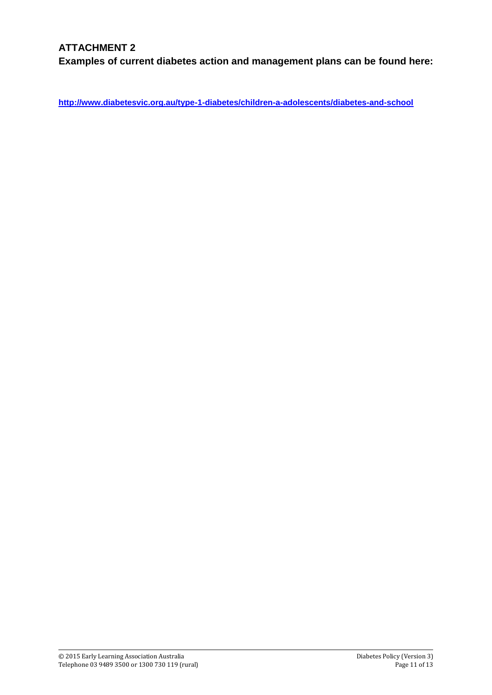## **ATTACHMENT 2**

**Examples of current diabetes action and management plans can be found here:**

**<http://www.diabetesvic.org.au/type-1-diabetes/children-a-adolescents/diabetes-and-school>**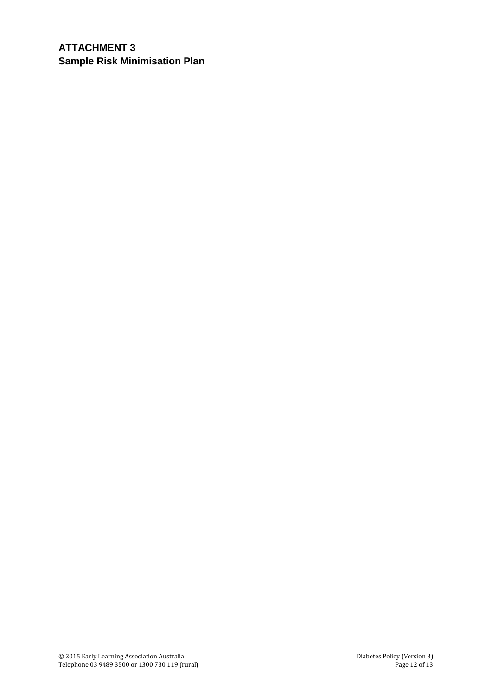# **ATTACHMENT 3 Sample Risk Minimisation Plan**